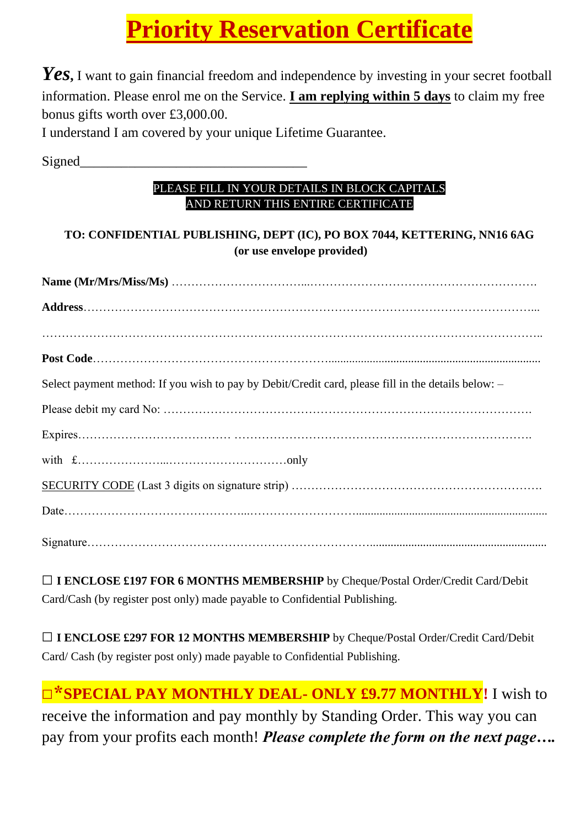# **Priority Reservation Certificate**

*Yes***,** I want to gain financial freedom and independence by investing in your secret football information. Please enrol me on the Service. **I am replying within 5 days** to claim my free bonus gifts worth over £3,000.00.

I understand I am covered by your unique Lifetime Guarantee.

Signed

#### PLEASE FILL IN YOUR DETAILS IN BLOCK CAPITALS AND RETURN THIS ENTIRE CERTIFICATE

### **TO: CONFIDENTIAL PUBLISHING, DEPT (IC), PO BOX 7044, KETTERING, NN16 6AG (or use envelope provided)**

| Select payment method: If you wish to pay by Debit/Credit card, please fill in the details below: - |
|-----------------------------------------------------------------------------------------------------|
|                                                                                                     |
|                                                                                                     |
|                                                                                                     |
|                                                                                                     |
|                                                                                                     |
|                                                                                                     |

**□I ENCLOSE £197 FOR 6 MONTHS MEMBERSHIP** by Cheque/Postal Order/Credit Card/Debit Card/Cash (by register post only) made payable to Confidential Publishing.

**□I ENCLOSE £297 FOR 12 MONTHS MEMBERSHIP** by Cheque/Postal Order/Credit Card/Debit Card/ Cash (by register post only) made payable to Confidential Publishing.

**□\*SPECIAL PAY MONTHLY DEAL- ONLY £9.77 MONTHLY!** I wish to receive the information and pay monthly by Standing Order. This way you can pay from your profits each month! *Please complete the form on the next page….*